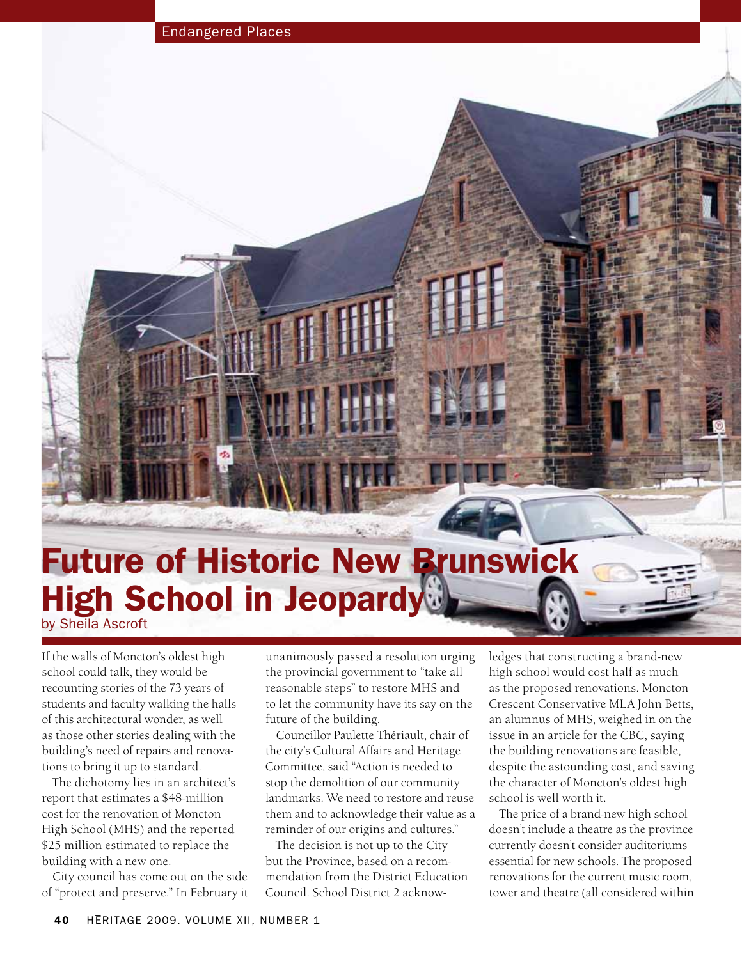## Future of Historic New Brunswick High School in Jeopardy by Sheila Ascroft

If the walls of Moncton's oldest high school could talk, they would be recounting stories of the 73 years of students and faculty walking the halls of this architectural wonder, as well as those other stories dealing with the building's need of repairs and renovations to bring it up to standard.

The dichotomy lies in an architect's report that estimates a \$48-million cost for the renovation of Moncton High School (MHS) and the reported \$25 million estimated to replace the building with a new one.

City council has come out on the side of "protect and preserve." In February it

unanimously passed a resolution urging the provincial government to "take all reasonable steps" to restore MHS and to let the community have its say on the future of the building.

Councillor Paulette Thériault, chair of the city's Cultural Affairs and Heritage Committee, said "Action is needed to stop the demolition of our community landmarks. We need to restore and reuse them and to acknowledge their value as a reminder of our origins and cultures."

The decision is not up to the City but the Province, based on a recommendation from the District Education Council. School District 2 acknowledges that constructing a brand-new high school would cost half as much as the proposed renovations. Moncton Crescent Conservative MLA John Betts, an alumnus of MHS, weighed in on the issue in an article for the CBC, saying the building renovations are feasible, despite the astounding cost, and saving the character of Moncton's oldest high school is well worth it.

The price of a brand-new high school doesn't include a theatre as the province currently doesn't consider auditoriums essential for new schools. The proposed renovations for the current music room, tower and theatre (all considered within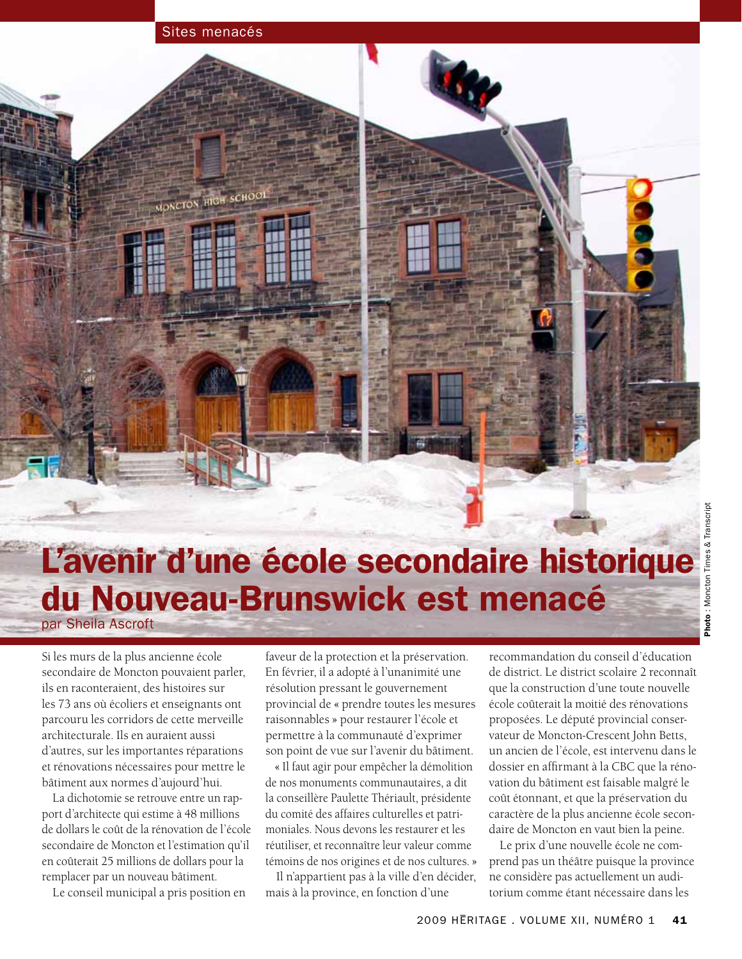### Sites menacés

MONCTON HIGH SCHOOL

# L'avenir d'une école secondaire historique

# du Nouveau-Brunswick est menacé par Sheila Ascroft

Si les murs de la plus ancienne école secondaire de Moncton pouvaient parler, ils en raconteraient, des histoires sur les 73 ans où écoliers et enseignants ont parcouru les corridors de cette merveille architecturale. Ils en auraient aussi d'autres, sur les importantes réparations et rénovations nécessaires pour mettre le bâtiment aux normes d'aujourd'hui.

La dichotomie se retrouve entre un rapport d'architecte qui estime à 48 millions de dollars le coût de la rénovation de l'école secondaire de Moncton et l'estimation qu'il en coûterait 25 millions de dollars pour la remplacer par un nouveau bâtiment.

Le conseil municipal a pris position en

faveur de la protection et la préservation. En février, il a adopté à l'unanimité une résolution pressant le gouvernement provincial de « prendre toutes les mesures raisonnables » pour restaurer l'école et permettre à la communauté d'exprimer son point de vue sur l'avenir du bâtiment.

« Il faut agir pour empêcher la démolition de nos monuments communautaires, a dit la conseillère Paulette Thériault, présidente du comité des affaires culturelles et patrimoniales. Nous devons les restaurer et les réutiliser, et reconnaître leur valeur comme témoins de nos origines et de nos cultures. »

Il n'appartient pas à la ville d'en décider, mais à la province, en fonction d'une

recommandation du conseil d'éducation de district. Le district scolaire 2 reconnaît que la construction d'une toute nouvelle école coûterait la moitié des rénovations proposées. Le député provincial conservateur de Moncton-Crescent John Betts, un ancien de l'école, est intervenu dans le dossier en affirmant à la CBC que la rénovation du bâtiment est faisable malgré le coût étonnant, et que la préservation du caractère de la plus ancienne école secondaire de Moncton en vaut bien la peine.

Le prix d'une nouvelle école ne comprend pas un théâtre puisque la province ne considère pas actuellement un auditorium comme étant nécessaire dans les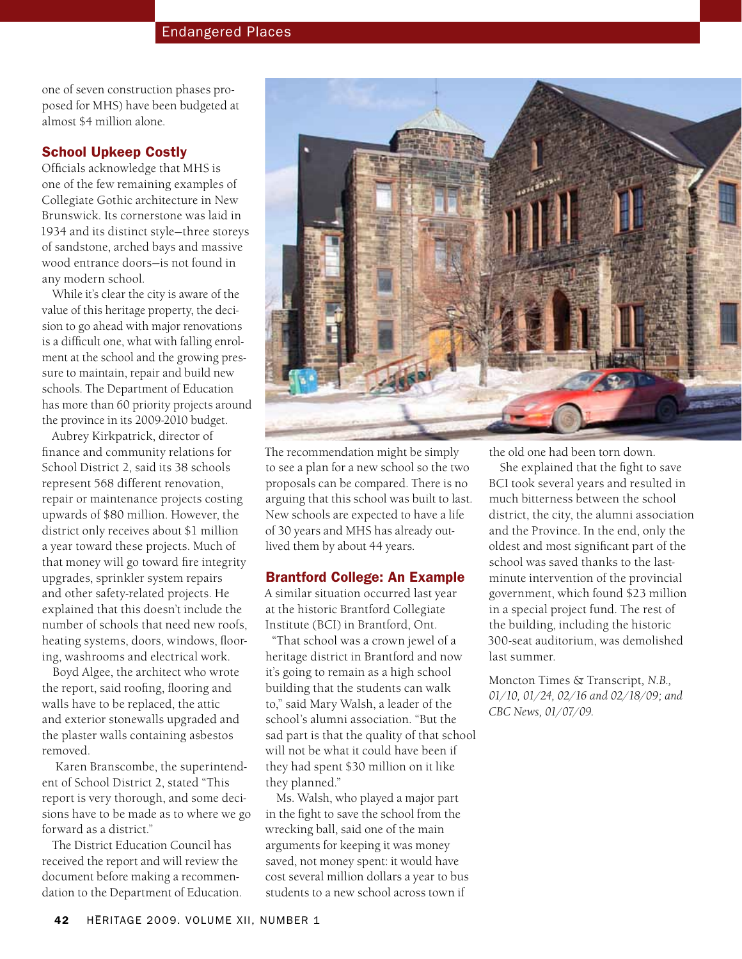one of seven construction phases proposed for MHS) have been budgeted at almost \$4 million alone.

### School Upkeep Costly

Officials acknowledge that MHS is one of the few remaining examples of Collegiate Gothic architecture in New Brunswick. Its cornerstone was laid in 1934 and its distinct style—three storeys of sandstone, arched bays and massive wood entrance doors—is not found in any modern school.

While it's clear the city is aware of the value of this heritage property, the decision to go ahead with major renovations is a difficult one, what with falling enrolment at the school and the growing pressure to maintain, repair and build new schools. The Department of Education has more than 60 priority projects around the province in its 2009-2010 budget.

Aubrey Kirkpatrick, director of finance and community relations for School District 2, said its 38 schools represent 568 different renovation, repair or maintenance projects costing upwards of \$80 million. However, the district only receives about \$1 million a year toward these projects. Much of that money will go toward fire integrity upgrades, sprinkler system repairs and other safety-related projects. He explained that this doesn't include the number of schools that need new roofs, heating systems, doors, windows, flooring, washrooms and electrical work.

Boyd Algee, the architect who wrote the report, said roofing, flooring and walls have to be replaced, the attic and exterior stonewalls upgraded and the plaster walls containing asbestos removed.

 Karen Branscombe, the superintendent of School District 2, stated "This report is very thorough, and some decisions have to be made as to where we go forward as a district."

The District Education Council has received the report and will review the document before making a recommendation to the Department of Education.



The recommendation might be simply to see a plan for a new school so the two proposals can be compared. There is no arguing that this school was built to last. New schools are expected to have a life of 30 years and MHS has already outlived them by about 44 years.

### Brantford College: An Example

A similar situation occurred last year at the historic Brantford Collegiate Institute (BCI) in Brantford, Ont.

"That school was a crown jewel of a heritage district in Brantford and now it's going to remain as a high school building that the students can walk to," said Mary Walsh, a leader of the school's alumni association. "But the sad part is that the quality of that school will not be what it could have been if they had spent \$30 million on it like they planned."

Ms. Walsh, who played a major part in the fight to save the school from the wrecking ball, said one of the main arguments for keeping it was money saved, not money spent: it would have cost several million dollars a year to bus students to a new school across town if

the old one had been torn down.

She explained that the fight to save BCI took several years and resulted in much bitterness between the school district, the city, the alumni association and the Province. In the end, only the oldest and most significant part of the school was saved thanks to the lastminute intervention of the provincial government, which found \$23 million in a special project fund. The rest of the building, including the historic 300-seat auditorium, was demolished last summer.

Moncton Times & Transcript*, N.B., 01/10, 01/24, 02/16 and 02/18/09; and CBC News, 01/07/09.*